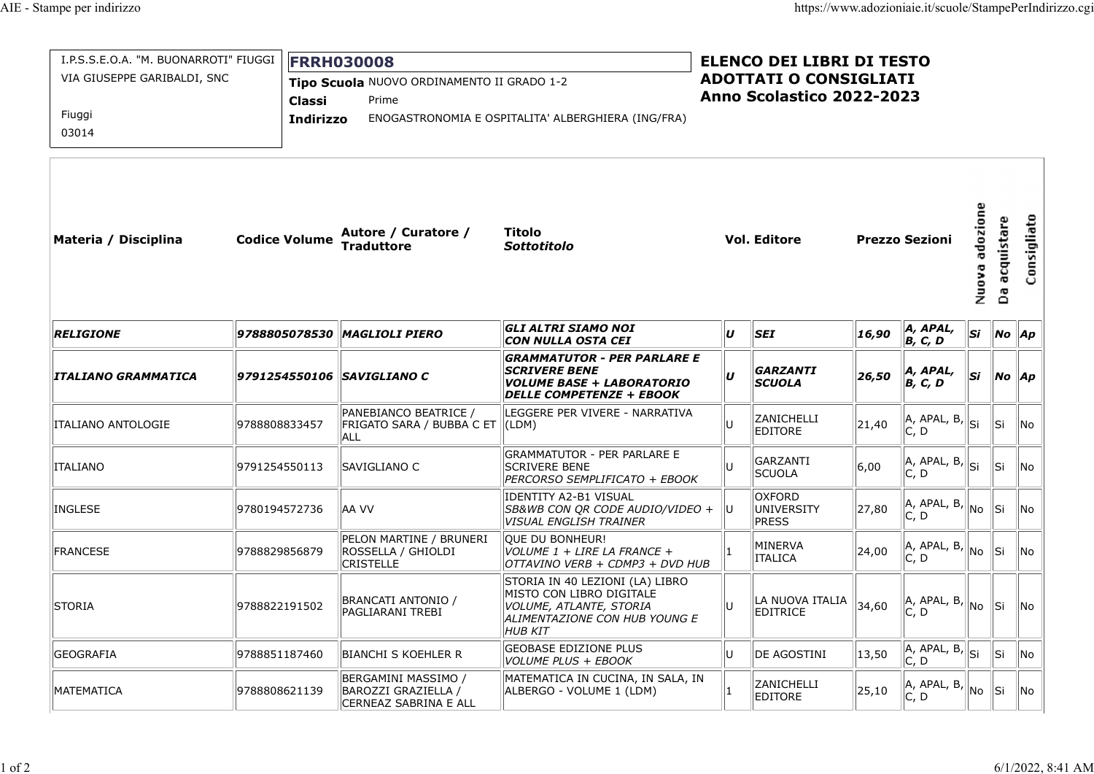| npe per indirizzo                                                    |                      |                                                                                    |                                                                   |                                                                                                                                           |    |                                                                                                |               | https://www.adozioniaie.it/scuole/StampePerIndirizzo.cgi |                                     |                               |             |  |  |
|----------------------------------------------------------------------|----------------------|------------------------------------------------------------------------------------|-------------------------------------------------------------------|-------------------------------------------------------------------------------------------------------------------------------------------|----|------------------------------------------------------------------------------------------------|---------------|----------------------------------------------------------|-------------------------------------|-------------------------------|-------------|--|--|
| I.P.S.S.E.O.A. "M. BUONARROTI" FIUGGI<br>VIA GIUSEPPE GARIBALDI, SNC |                      | <b>FRRH030008</b><br>Tipo Scuola NUOVO ORDINAMENTO II GRADO 1-2<br>Prime<br>Classi |                                                                   |                                                                                                                                           |    | <b>ELENCO DEI LIBRI DI TESTO</b><br><b>ADOTTATI O CONSIGLIATI</b><br>Anno Scolastico 2022-2023 |               |                                                          |                                     |                               |             |  |  |
| Fiuggi<br>03014                                                      |                      | Indirizzo                                                                          |                                                                   | ENOGASTRONOMIA E OSPITALITA' ALBERGHIERA (ING/FRA)                                                                                        |    |                                                                                                |               |                                                          |                                     |                               |             |  |  |
| Materia / Disciplina                                                 | <b>Codice Volume</b> |                                                                                    | Autore / Curatore /<br><b>Traduttore</b>                          | Titolo<br><b>Sottotitolo</b>                                                                                                              |    | <b>Vol. Editore</b>                                                                            |               | <b>Prezzo Sezioni</b>                                    | adozione<br>$\blacksquare$<br>Nuov. | acquistare<br>යි              | Consigliato |  |  |
| <b>RELIGIONE</b>                                                     |                      |                                                                                    | 9788805078530 MAGLIOLI PIERO                                      | GLI ALTRI SIAMO NOI<br>CON NULLA OSTA CEI                                                                                                 | U  | <b>SEI</b>                                                                                     | 16,90         | $A, APAL,$<br>$B, C, D$                                  | Si                                  | $\vert$ No $\vert$ Ap         |             |  |  |
| ITALIANO GRAMMATICA                                                  |                      |                                                                                    | 9791254550106   SAVIGLIANO C                                      | <b>GRAMMATUTOR - PER PARLARE E</b><br><b>SCRIVERE BENE</b><br><i>VOLUME BASE + LABORATORIO</i><br>DELLE COMPETENZE + EBOOK                | U  | GARZANTI<br><b>SCUOLA</b>                                                                      | 26,50         | $A, APAL,$<br>$B, C, D$                                  | Si                                  | $\parallel$ No $\parallel$ Ap |             |  |  |
| ITALIANO ANTOLOGIE                                                   | 9788808833457        |                                                                                    | PANEBIANCO BEATRICE /<br> FRIGATO SARA / BUBBA C ET<br><b>ALL</b> | LEGGERE PER VIVERE - NARRATIVA<br>$\parallel$ (LDM)                                                                                       | IП | ZANICHELLI<br><b>EDITORE</b>                                                                   | 21,40         | $\ A$ , apal, b, $\ S\ $<br> C, D                        |                                     | lSi                           | No          |  |  |
|                                                                      |                      |                                                                                    | SAVIGLIANO C                                                      | GRAMMATUTOR - PER PARLARE E<br><b>SCRIVERE BENE</b><br>PERCORSO SEMPLIFICATO + EBOOK                                                      |    | GARZANTI<br><b>SCUOLA</b>                                                                      | 6,00          | $\ A$ , APAL, B, $\ S\ $<br> C, D                        |                                     | Sii.                          | No          |  |  |
| <b>ITALIANO</b>                                                      | 9791254550113        |                                                                                    |                                                                   |                                                                                                                                           |    | <b>OXFORD</b>                                                                                  |               | $\ A, A$ PAL, B, $\ $ No $\ $                            |                                     | ∥si                           | No          |  |  |
| INGLESE                                                              | 9780194572736        |                                                                                    | IAA VV                                                            | IDENTITY A2-B1 VISUAL<br>SB&WB CON OR CODE AUDIO/VIDEO +<br>VISUAL ENGLISH TRAINER                                                        | lU | UNIVERSITY<br>PRESS                                                                            | $\vert$ 27,80 | C, D                                                     |                                     |                               |             |  |  |
| <b>FRANCESE</b>                                                      | 9788829856879        |                                                                                    | PELON MARTINE / BRUNERI<br>ROSSELLA / GHIOLDI<br><b>CRISTELLE</b> | QUE DU BONHEUR!<br>$ VOLUME 1 + LIRE LA FRANCE +$<br>OTTAVINO VERB + CDMP3 + DVD HUB                                                      |    | MINERVA<br><b>ITALICA</b>                                                                      | 24,00         | $\vert$ A, APAL, B, $\vert$<br> C, D                     | ∥No                                 | ∥Si                           | No          |  |  |
| STORIA                                                               | 9788822191502        |                                                                                    | BRANCATI ANTONIO /<br>PAGLIARANI TREBI                            | STORIA IN 40 LEZIONI (LA) LIBRO<br>MISTO CON LIBRO DIGITALE<br>VOLUME, ATLANTE, STORIA<br>ALIMENTAZIONE CON HUB YOUNG E<br><b>HUB KIT</b> | lU | LA NUOVA ITALIA<br><b>EDITRICE</b>                                                             | 34,60         | A, APAL, B,<br> C, D                                     | ∥No                                 | ∥si                           | No.         |  |  |
| <b>GEOGRAFIA</b>                                                     | 9788851187460        |                                                                                    | <b>BIANCHI S KOEHLER R</b>                                        | <b>GEOBASE EDIZIONE PLUS</b><br>VOLUME PLUS + EBOOK                                                                                       | lU | DE AGOSTINI                                                                                    | 13,50         | $\sqrt{A, APAL, B}$ , $\left\ S\right\ $<br> C, D        |                                     | Sii.                          | No.         |  |  |